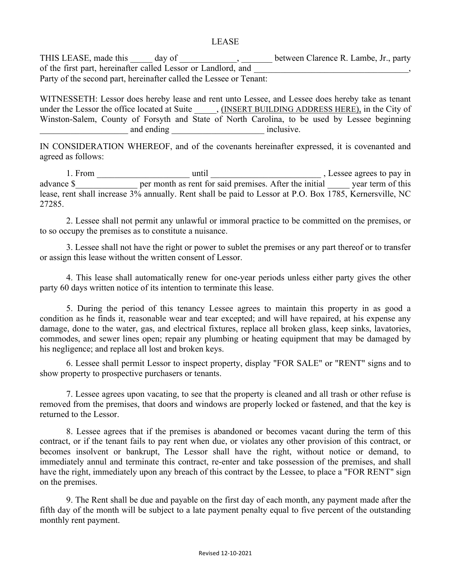THIS LEASE, made this \_\_\_\_\_ day of \_\_\_\_\_\_\_\_\_\_\_, \_\_\_\_\_\_\_ between Clarence R. Lambe, Jr., party of the first part, hereinafter called Lessor or Landlord, and Party of the second part, hereinafter called the Lessee or Tenant:

WITNESSETH: Lessor does hereby lease and rent unto Lessee, and Lessee does hereby take as tenant under the Lessor the office located at Suite \_\_\_\_\_, (INSERT BUILDING ADDRESS HERE), in the City of Winston-Salem, County of Forsyth and State of North Carolina, to be used by Lessee beginning example and ending example and ending the state inclusive.

IN CONSIDERATION WHEREOF, and of the covenants hereinafter expressed, it is covenanted and agreed as follows:

1. From until until Research  $\frac{1}{2}$ , Lessee agrees to pay in advance \$ per month as rent for said premises. After the initial year term of this lease, rent shall increase 3% annually. Rent shall be paid to Lessor at P.O. Box 1785, Kernersville, NC 27285.

2. Lessee shall not permit any unlawful or immoral practice to be committed on the premises, or to so occupy the premises as to constitute a nuisance.

3. Lessee shall not have the right or power to sublet the premises or any part thereof or to transfer or assign this lease without the written consent of Lessor.

4. This lease shall automatically renew for one-year periods unless either party gives the other party 60 days written notice of its intention to terminate this lease.

5. During the period of this tenancy Lessee agrees to maintain this property in as good a condition as he finds it, reasonable wear and tear excepted; and will have repaired, at his expense any damage, done to the water, gas, and electrical fixtures, replace all broken glass, keep sinks, lavatories, commodes, and sewer lines open; repair any plumbing or heating equipment that may be damaged by his negligence; and replace all lost and broken keys.

6. Lessee shall permit Lessor to inspect property, display "FOR SALE" or "RENT" signs and to show property to prospective purchasers or tenants.

7. Lessee agrees upon vacating, to see that the property is cleaned and all trash or other refuse is removed from the premises, that doors and windows are properly locked or fastened, and that the key is returned to the Lessor.

8. Lessee agrees that if the premises is abandoned or becomes vacant during the term of this contract, or if the tenant fails to pay rent when due, or violates any other provision of this contract, or becomes insolvent or bankrupt, The Lessor shall have the right, without notice or demand, to immediately annul and terminate this contract, re-enter and take possession of the premises, and shall have the right, immediately upon any breach of this contract by the Lessee, to place a "FOR RENT" sign on the premises.

9. The Rent shall be due and payable on the first day of each month, any payment made after the fifth day of the month will be subject to a late payment penalty equal to five percent of the outstanding monthly rent payment.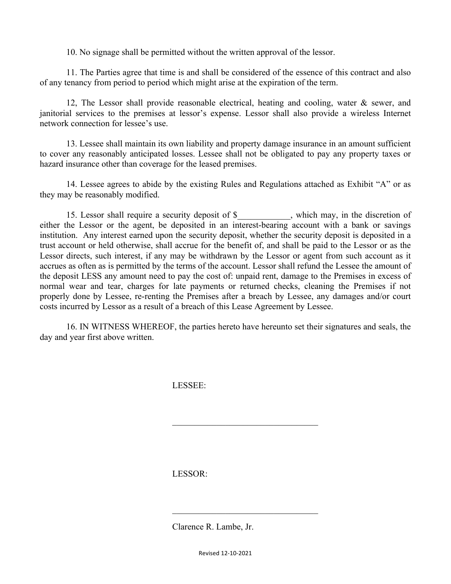10. No signage shall be permitted without the written approval of the lessor.

11. The Parties agree that time is and shall be considered of the essence of this contract and also of any tenancy from period to period which might arise at the expiration of the term.

12, The Lessor shall provide reasonable electrical, heating and cooling, water & sewer, and janitorial services to the premises at lessor's expense. Lessor shall also provide a wireless Internet network connection for lessee's use.

13. Lessee shall maintain its own liability and property damage insurance in an amount sufficient to cover any reasonably anticipated losses. Lessee shall not be obligated to pay any property taxes or hazard insurance other than coverage for the leased premises.

14. Lessee agrees to abide by the existing Rules and Regulations attached as Exhibit "A" or as they may be reasonably modified.

15. Lessor shall require a security deposit of \$\_\_\_\_\_\_\_\_\_\_\_\_, which may, in the discretion of either the Lessor or the agent, be deposited in an interest-bearing account with a bank or savings institution. Any interest earned upon the security deposit, whether the security deposit is deposited in a trust account or held otherwise, shall accrue for the benefit of, and shall be paid to the Lessor or as the Lessor directs, such interest, if any may be withdrawn by the Lessor or agent from such account as it accrues as often as is permitted by the terms of the account. Lessor shall refund the Lessee the amount of the deposit LESS any amount need to pay the cost of: unpaid rent, damage to the Premises in excess of normal wear and tear, charges for late payments or returned checks, cleaning the Premises if not properly done by Lessee, re-renting the Premises after a breach by Lessee, any damages and/or court costs incurred by Lessor as a result of a breach of this Lease Agreement by Lessee.

16. IN WITNESS WHEREOF, the parties hereto have hereunto set their signatures and seals, the day and year first above written.

 $\mathcal{L}_\text{max}$  , where  $\mathcal{L}_\text{max}$  and  $\mathcal{L}_\text{max}$  and  $\mathcal{L}_\text{max}$ 

 $\mathcal{L}_\text{max}$  , where  $\mathcal{L}_\text{max}$  and  $\mathcal{L}_\text{max}$  and  $\mathcal{L}_\text{max}$ 

LESSEE:

LESSOR:

Clarence R. Lambe, Jr.